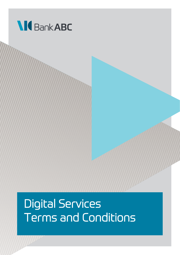

# Digital Services Terms and Conditions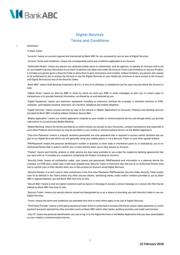

### Digital Services Terms and Conditions

1. Definitions

In these Terms:

"Account" means an account opened and maintained by Bank ABC for you accessed by you by way of Digital Services.

"Account Terms and Conditions" means the corresponding terms and conditions applicable to an Account.

"Authorised Person" means any person you authorise (either alone or collectively), and we approve, to operate an Account and to act on your behalf in giving instructions to our bank, to perform any other acts under the Account Terms and Conditions or use any Product. It includes any person given a Security Code to allow them to give instructions and includes, without limitation, any person who ceases to be authorised by you to access the Account or use the Digital Services on your behalf yet continues to have access to the Account and Digital Services by way of the Security Codes.

"Bank ABC" means Arab Banking Corporation (B.S.C.) or any of its affiliates or subsidiaries (as the case may be) where the Account is held.

"Digital Alerts" means an alert by SMS or email by which we send you SMS or email messages to alert you to certain types of transactions or to provide financial information, as offered by us and selected by you.

"Digital Equipment" means any electronic equipment including an electronic terminal (for example, a merchant terminal or ATM), computer, cash deposit machine, television, fax machine, telephone and mobile telephone.

"Digital Services" means access services by way of the internet or Mobile Applications to Accounts, Products and banking services provided by Bank ABC including without limitation Secure Mail.

"Mobile Application" means our mobile application installed on your mobile or communications device and through which you provide instructions to us and access Mobile Banking.

"Mobile Banking" means the facility provided by us which allows you access to your Account(s), conduct transactions and subscribe to such other Products and services as may be provided on your mobile or communications device via the Mobile Application.

"One-time Password" means a uniquely randomly generated one-time password that is required to access certain facilities that are part of our Digital Services which you will generate using your mobile phone or via a Security Token or such other agreed method.

"PIN/Password" means the personal identification number or question or other code or information given to, or selected by, you or an Authorised Person that is used to confirm your or their identity when you or they access an Account.

"Product" means each facility, product or other service we may make available to you under the respective banking agreements that you have with us. It includes any component comprising the Product including an Account.

"Security Code" means all confidential codes, user names and passwords, PIN/Password and information or a physical device (for example, an ATM card, a debit card, credit card, prepaid card, Security Token or electronic key) that you or an Authorised Person must use to confirm your or their identity when you or they access an Account using Digital Services.

"Security Details" is a term used to refer collectively to the One-time Password, PIN/Password, Security Code, Security Token and/or User ID as defined in the Terms and/or any other security details, identifying words, codes and/or numbers provided to you by Bank ABC or agreed between you and Bank ABC from time to time.

"Secure Mail" means e-mail encryption solutions such as secure e-message to access a secure message on a secure site that may be offered by Bank ABC from time to time.

"Security Token" means any security device issued and designated by us as a means of providing you with Security Codes to use our Digital Services.

"Terms" means the terms and conditions (as amended from time to time) which apply to the use of Digital Services.

"Third Party Provider" means a third party payment provider which is authorised to access information and/or make payments on online payment accounts operated by other providers (such as Bank ABC and/or other banks, building societies and credit card issuers).

"User ID" means the personal identification you use to log-in to the Digital Services or the Mobile Application that you have downloaded on your mobile or communications device.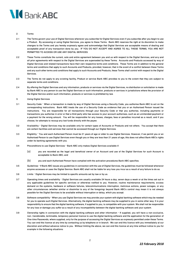

#### 2. Terms

- 2.1 The Terms govern your use of Digital Services whenever you subscribe for Digital Services even if you subscribe after you begin to use a Product. By accessing or using Digital Services, you agree to these Terms. Bank ABC reserves the right at its discretion to make changes to the Terms and you hereby expressly agree and acknowledge that Digital Services are acceptable means of dealing and acceptable proof of any transaction done by you. IF YOU DO NOT ACCEPT AND AGREE TO ALL THESE TERMS, YOU ARE NOT PERMITTED TO ACCESS OR USE ANY DIGITAL SERVICES.
- 2.2 These Terms constitute the current, sole and entire agreement between you and us with respect to the Digital Services, and any and all prior agreements with respect to the Digital Services are superseded by these Terms. Accounts and Products accessed by way of Digital Services and related transactions have their own respective terms and conditions. These Terms are in addition to the general terms and conditions that apply to such Accounts and Products; provided, however, that in the event of a conflict between these Terms and any such other terms and conditions that apply to such Accounts and Products, these Terms shall control with respect to the Digital **Services**
- 2.3 The Terms do not apply to any existing facility, Product or service Bank ABC provides to you to the extent that they are subject to separate terms and conditions.
- 2.4 By offering the Digital Services and any information, products or services via the Digital Services, no distribution or solicitation is made by Bank ABC to any person to use the Digital Services or such information, products or services in jurisdictions where the provision of the Digital Service and/or such information, products or services is prohibited by law.
- 3. Using Digital Services
- 3.1 Security Code When a transaction is made by way of Digital Services using a Security Code, you authorise Bank ABC to act on the corresponding instructions. Bank ABC treats the use of a Security Code as evidence that you or an Authorised Person issued the instructions. You are responsible for all transactions through your Security Code or that you authorise, including payments or transactions you authorise in error or that a third party who has access to your account authorises, such as an unintended payment or a payment for the wrong amount. You will be responsible for any losses, charges, fees or penalties incurred as a result, and if you choose, for attempts to recoup any lost funds directly with the payee.
- 3.2 Availability Digital Services may be available only for certain types of Accounts or Products and not others. You accept that there are certain facilities and services that cannot be accessed through our Digital Services.
- 3.3 Eligibility You and each Authorised Person must be 21 years of age or older to use Digital Services. However, if we permit you or an Authorised Person to use Digital Services even though you or they are less than 21 years of age, this does not affect Bank ABC's rights under its banking agreements with you.
- 3.4 Preconditions to use Digital Services Bank ABC only makes Digital Services available if:
	- (a) you are recorded as the legal and beneficial owner of an Account and use of the Digital Services for such Account is acceptable to Bank ABC; and
	- (b) you and each Authorised Person have complied with the activation procedures Bank ABC specifies.
- 3.5 Guidelines– If Bank ABC issues any guidelines in connection with the use of Digital Services, the guidelines must be followed whenever anyone accesses or uses the Digital Service. Bank ABC shall not be liable for any loss you incur as a result of any failure to do so.
- 3.6 Limits Digital Services may be limited to specific amounts set by law or by us.
- 3.7 Operating times and availability Digital Services are usually available 24 hours a day, seven days a week or at the times set out in any applicable guidelines for specific services or otherwise notified to you. However, routine maintenance requirements, excess demand on the systems, hardware or software failures, telecommunications interruption, malicious actions, power outages, or any other circumstances (whether similar or dissimilar to any of the foregoing) beyond Bank ABC's control may mean it is not always possible for the Digital Services to be available without interruption or delay, which you accept.
- 3.8 Software compatibility– When you use Digital Services we may provide your system with digital banking software which may be needed for you to operate such Digital Services. Alternatively, the digital banking software may be supplied to you in some other way. It is your responsibility to ensure that the digital banking software, if supplied to you, is compatible with your system. We shall not be responsible for any loss or damage you suffer as a result of any incompatibility between the digital banking software and your system.
- 3.9 Ownership rights in connection with the digital banking software and other information If supplied, you will have a non-exclusive, non- transferable, terminable, temporary personal licence to use the digital banking software and the application for the generation of One-time Passwords, where supplied, only for the purpose of accessing the Digital Services as expressly permitted under these Terms. You can end this licence at any time by contacting us by telephone or in branch. We can end this licence with you immediately at our discretion and without advance notice to you. Without limiting the above, we can end this licence at any time without notice to you for example in the following situations: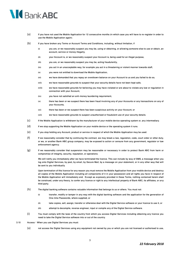## **M**BankABC

- (a) If you have not used the Mobile Application for 12 consecutive months (in which case you will have to re-register in order to use the Mobile Application again).
- (b) If you have broken any Terms or Account Terms and Conditions, including, without limitation, if
	- (i) you are, or we reasonably suspect you may be, using or obtaining, or allowing someone else to use or obtain, an account, service or money illegally;
	- (ii) your Account is, or we reasonably suspect your Account is, being used for an illegal purpose;
	- (iii) you are, or we reasonably suspect you may be, acting fraudulently;
	- (iv) you act in an unacceptable way, for example you act in a threatening or violent manner towards staff;
	- (v) you were not entitled to download the Mobile Application;
	- (vi) we have demanded that you repay an overdrawn balance on your Account to us and you failed to do so;
	- (vii) we have reasonable grounds to suspect that your security details have not been kept safe;
	- (viii) we have reasonable grounds for believing you may have violated or are about to violate any law or regulation in connection with your Account;
	- (ix) you have not satisfied an anti-money laundering requirement;
	- (x) there has been or we suspect there has been fraud involving any of your Accounts or any transactions on any of your Accounts;
	- (xi) there has been or we suspect there has been suspicious activity on your Account; or
	- (xii) we have reasonable grounds to suspect unauthorised or fraudulent use of your security details.
- (c) If the Mobile Application is withdrawn by the manufacturer of your mobile device operating system or, any intermediary.
- (d) If we stop supporting the Mobile Application on your mobile device or the operating system it runs.
- (e) If you stop holding any Account, product or service in respect of which the Mobile Application may be used.
- $(f)$  If we reasonably consider that by continuing the contract, we may break a law, regulation, code, court order or other duty; or we, or another Bank ABC group company, may be exposed to action or censure from any government, regulator or law enforcement agency.
- (g) If we reasonably consider that suspension may be reasonable or necessary in order to protect Bank ABC from harm or compromise of integrity, security, reputation, or operations.

We will notify you immediately after we have terminated the licence. This can include by way of SMS, a message when you log onto Digital Services, by post, by email, by Secure Mail, by a message on your statement, or in any other way that will be sent to you individually.

Upon termination of this licence for any reason you must remove the Mobile Application from your mobile device and destroy all copies of the Mobile Application including all components of it in your possession and all rights you have in respect of the Mobile Application will immediately end. Except as expressly provided in these Terms, nothing contained herein shall be construed, under any theory, to confer any licence or right to any intellectual property of Bank ABC, its affiliates, or any third party.

- (h) The digital banking software contains valuable information that belongs to us or others. You must not:
	- (i) transfer, modify or tamper in any way with the digital banking software and the application for the generation of One-time Passwords, where supplied; or
	- (ii) take copies, sell, assign, transfer or otherwise deal with the Digital Service software or your licence to use it; or
	- (iii) attempt to decompile, reverse engineer, input or compile any of the Digital Service software.
- (i) You must comply with the laws of the country from which you access Digital Services including obtaining any licence you need to take the Digital Service software into or out of the country.
- 3.10 Access When you use Digital Services you must:
	- (a) not access the Digital Services using any equipment not owned by you or which you are not licensed or authorised to use;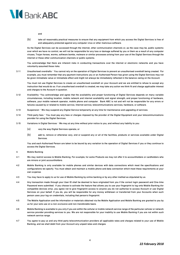

and

(b) take all reasonably practical measures to ensure that any equipment from which you access the Digital Services is free of and adequately protected against any computer virus or other malicious software.

As the Digital Services can be accessed through the internet, other communication channels or, as the case may be, public systems over which we have no control, we will not be responsible for any loss or damage suffered by you or them as a result of any computer viruses, Trojan horses, worms, software bombs, malware or similar processes arising from your use of the Digital Services through the internet or those other communication channels or public systems.

You acknowledge that there are inherent risks in conducting transactions over the internet or electronic networks and you have voluntarily assumed those risks.

3.11 Unauthorised overdrafts – You cannot rely on the operation of Digital Services to prevent an unauthorised overdraft being created. For example, you must remember that any payment instructions you or an Authorised Person has given using the Digital Services may not be given immediate value or immediate effect and might not always be immediately reflected in the balance owing on the Account.

You must not use Digital Services to create an unauthorised overdraft on your Account and we are entitled to refuse to accept any instruction that would do so. If an unauthorised overdraft is created, we may take any action we think fit and charge applicable interest and charges to the Account in question.

- 3.12 Availability –You acknowledge and agree that the availability and proper functioning of Digital Services depends on many variable circumstances, including location, mobile network and internet availability and signal strength, and proper functioning of hardware, software, your mobile network operator, mobile phone and computer. Bank ABC is not and will not be responsible for any errors or failures caused by or related to mobile service, Internet service, telecommunications services, hardware, or software.
- 3.13 Suspension We may suspend any Digital Service temporarily at any time for maintenance and upgrading of services.
- 3.14 Third-party fees You must pay any fees or charges imposed by the provider of the Digital Equipment and your telecommunications provider for using the Digital Services.
- 3.15 Variations in Digital Services We may at any time without prior notice to you, and without any liability to you:
	- (a) vary the way Digital Services operate; or
	- (b) add to, remove or otherwise vary, end or suspend any or all of the facilities, products or services available under Digital Services.

You and each Authorised Person are taken to be bound by any variation to the operation of Digital Services if you or they continue to access the Digital Services.

- 4. Mobile Banking
- 4.1 We may restrict access to Mobile Banking. For example, for some Products we may not offer it to accountholders or cardholders who are minors or joint accountholders.
- 4.2 Mobile Banking is only available for mobile phones and similar devices with data connections which meet the specifications and configurations we specify. You must obtain and maintain a mobile phone and data connection which meet these requirements at your own expense.
- 4.3 You may have to apply to us for use of Mobile Banking by online banking or by any other method as stipulated by us.
- 4.4 Any transaction made through your User ID shall be deemed to have originated from you if the correct login password and One-time Password were submitted. If you choose to activate the feature that allows you to use your fingerprint to log onto Mobile Banking (for compatible devices only), you agree not to give fingerprint access to anyone you do not authorise to access Account or use Digital Services on your behalf. If you do, you will be responsible for any money withdrawn or transferred from your Accounts when such person uses your log-on credentials, including that person's fingerprint.
- 4.5 The Mobile Application and the information or materials obtained via the Mobile Application and Mobile Banking are granted to you by us for your sole use on a non-exclusive and non-transferable basis.
- 4.6 Mobile Banking is available to you only if you are within the cellular or mobile network service range of the particular cellular or network service provider providing services to you. We are not responsible for your inability to use Mobile Banking if you are not within such network service range.
- 4.7 You agree to pay us and any third-party telecommunication providers all applicable rates and charges related to your use of Mobile Banking, and we shall debit from your Account any unpaid rates and charges.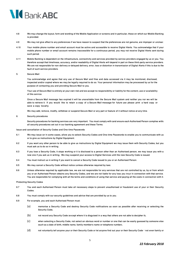

- 4.8 We may change the layout, form and wording of the Mobile Application or screens and in particular, those on which our Mobile Banking is provided.
- 4.9 We may not give effect to any preferences if we have reason to suspect that the preferences are not genuine, are improper or unclear.
- 4.10 Your mobile phone number and email account must be active and accessible to receive Digital Alerts. You acknowledge that if your mobile phone number or email account remains inaccessible for a continuous period, you may not receive Digital Alerts sent during such period.
- 4.11 Mobile Banking is dependent on the infrastructure, connectivity and services provided by service providers engaged by us or you. You therefore accept that timeliness, accuracy, and/or readability of Digital Alerts will depend in part on these third-party service providers. We are not responsible for non-delivery or delayed delivery, error, loss or distortion in transmission of Digital Alerts if this is due to the fault of such service providers.
- 5. Secure Mail

You acknowledge and agree that any use of Secure Mail and files and data accessed via it may be monitored, disclosed, inspected and/or copied where we may be legally required to do so. Your personal information may be processed by us for the purpose of contacting you and providing Secure Mail to you.

Your use of Secure Mail is entirely at your own risk and we accept no responsibility or liability for the content, use or availability of this service.

Once a Secure Mail message has expired it will be unavailable from the Secure Mail system and neither you nor we will be able to retrieve it. If you would like to retain a copy of a Secure Mail message for future use please print a hard copy or save a copy locally.

We may add, remove, modify, withdraw or suspend Secure Mail or any part or feature of it without notice at any time.

6. Security procedures

Security procedures for banking services are very important. You must comply with (and ensure each Authorised Person complies with) all security procedures set out in our banking agreement and these Terms.

Issue and cancellation of Security Codes and One-time Passwords

- 6.1 We may issue (or in some cases, allow you to select) Security Codes and One-time Passwords to enable you to communicate with us or to give us instructions by Digital Equipment.
- 6.2 If you want any other person to be able to give us instructions by Digital Equipment we may issue them with Security Codes, but you must ask us to do so in writing.
- 6.3 If you lose a Security Code, it stops working or it is disclosed to a person other than an Authorised person, we may issue you with a new one if you ask us in writing. We may suspend your access to Digital Services until the new Security Code is issued.
- 6.4 You must instruct us in writing if you want to cancel a Security Code issued to you or an Authorised Person.
- 6.5 We may cancel a Security Code without notice (unless otherwise required by law).
- 6.6 Unless otherwise required by applicable law, we are not responsible for any services that are not controlled by us, by or from which you or an Authorised Person obtains any Security Codes, and we are not liable for any loss you incur in connection with that service. You are responsible for complying with all the terms and conditions of using that service and paying all the costs in connection with it.

#### Protecting Security Codes

- 6.7 You and each Authorised Person must take all necessary steps to prevent unauthorised or fraudulent use of your or their Security Codes.
- 6.8 You must comply with our security guidelines and advice that are provided by us to you.
- 6.9 For example, you and each Authorised Person must:
	- (a) memorise a Security Code and destroy Security Code notifications as soon as possible after receiving or selecting the Security Code;
	- (b) not record any Security Code (except where it is disguised in a way that others are not able to decipher it);
	- (c) when selecting a Security Code, not select an obvious word or number or one that can be easily guessed by someone else (such as a date of birth, middle name, family member's name or telephone number);
	- (d) not voluntarily tell anyone your or their Security Code or let anyone find out your or their Security Code not even family or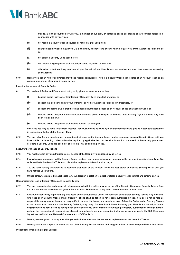

friends, a joint accountholder with you, a member of our staff, or someone giving assistance on a technical helpdesk in connection with any services;

- (e) not record a Security Code (disguised or not) on Digital Equipment;
- (f) change Security Codes regularly or, at a minimum, whenever we or our systems require you or the Authorised Person to do so;
- (g) not select a Security Code used before;
- (h) not voluntarily give your or their Security Code to any other person; and
- (i) otherwise protect and keep confidential your Security Code, User ID, account number and any other means of accessing your Account.
- 6.10 Neither you nor an Authorised Person may keep records (disguised or not) of a Security Code near records of an Account (such as an Account number) or other security code device.

Loss, theft or misuse of Security Codes

- 6.11 You and each Authorised Person must notify us by phone as soon as you or they:
	- (a) become aware that your or their Security Code may have been lost or stolen; or
	- (b) suspect that someone knows your or their or any other Authorised Person's PIN/Password; or
	- (c) suspect or become aware that there has been unauthorised access to an Account or use of a Security Code; or
	- (d) become aware that your or their computer or mobile phone which you or they use to access any Digital Services may have been lost or stolen; or
	- (e) become aware that your or their mobile number has changed,

otherwise you may be liable for any loss incurred. You must provide us with any relevant information and give us reasonable assistance in recovering a lost or stolen Security Code.

6.12 You are liable for any unauthorised transactions that occur on the Account linked to a lost, stolen or misused Security Code, until you have notified us in writing. Unless otherwise required by applicable law, our decision in relation to a breach of the security procedures or where a Security Code has been lost or stolen is final and binding on you.

Loss, theft or misuse of Security Tokens

- 6.13 You must prevent any unauthorised use or access of the Security Token issued by us to you.
- 6.14 If you discover or suspect that the Security Token has been lost, stolen, misused or tampered with, you must immediately notify us. We will deactivate the Security Token and dispatch a replacement Security token to you.
- 6.15 You are liable for any unauthorised transactions that occur on the Account linked to a lost, stolen or misused Security Token until you have notified us in writing.
- 6.16 Unless otherwise required by applicable law, our decision in relation to a lost or stolen Security Token is final and binding on you.

Responsibility for loss of Security Codes and Security Tokens

- 6.17 You are responsible for and accept all risks associated with the delivery by us to you of the Security Codes and Security Tokens from the time we transfer these items to you (or the Authorised Person) even if any other person receives or uses them.
- 6.18 It is your responsibility to prevent any disclosure and/or unauthorised use of the Security Codes and/or Security Tokens. Any individual who uses such Security Codes and/or Security Tokens shall be taken to have been authorised by you. You agree not to hold us responsible in any way for losses you may suffer from your disclosure, non-receipt or loss of Security Codes and/or Security Tokens or the unauthorised use of the lost Security Codes by any party. Transactions initiated by using your User ID and Security Code or fingerprint will be considered as having been authorised by you and constitutes your legal permission, authorization and signature to perform the transaction(s) requested, as allowed by applicable law and regulation including, where applicable, the U.S. Electronic Signatures in Global and National Commerce Act ("E-SIGN Act").
- 6.19 We may require you to pay any fees, charges and all other costs for the use and/or replacement of lost Security Tokens.
- 6.20 We may terminate, suspend or cancel the use of the Security Tokens without notifying you unless otherwise required by applicable law.

Precautions when using Digital Services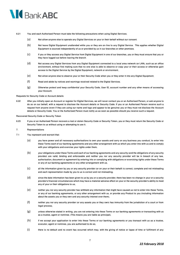

#### 6.21 You and each Authorised Person must take the following precautions when using Digital Services.

- (a) Not allow anyone else to operate any Digital Services on your or their behalf without our consent.
- (b) Not leave Digital Equipment unattended while you or they are on-line to any Digital Service. This applies whether Digital Equipment is sourced independently of us or provided by us in our branches or other premises.
- (c) If you or they access any Digital Service from Digital Equipment in one of our branches, you or they must ensure that you or they have logged out before leaving the branch.
- (d) Not access any Digital Services from any Digital Equipment connected to a local area network (or LAN), such as an office environment, without first making sure that no one else is able to observe or copy your or their access or otherwise gain access to the Digital Service by the Digital Equipment, network or environment.
- (e) Not allow anyone else to observe your or their Security Code when you or they enter it into any Digital Equipment.
- (f) Read and abide by notices and warnings received related to the Digital Services.
- (g) Otherwise protect and keep confidential your Security Code, User ID, account number and any other means of accessing your Account.

#### Requests for Security Code or Account details

6.22 After you initially open an Account or register for Digital Services, we will never contact you or an Authorised Person, or ask anyone to do so on our behalf, with a request to disclose the Account details or Security Code. If you or an Authorised Person receive such a request from anyone (even if they are using our name and logo and appear to be genuine) you or they must not disclose the Account details or Security Code. You or the Authorised Person must notify us as soon as possible should you receive such a request.

#### Recovered Security Code or Security Token

6.23 If you or an Authorised Person recovers a lost or stolen Security Code or Security Token, you or they must return the Security Code or Security Token to us without using or attempting to use it.

#### 7. Representations

- 7.1 You represent and warrant that:
	- (a) you have power and all necessary authorisations to own your assets and carry on any business you conduct, to enter into these Terms each of our banking agreements and any other arrangement with us which you enter into with us and to comply with your obligations and exercise your rights under them;
	- (b) your obligations under these Terms and each of our banking agreements and any security (and the obligations of any security provider) are valid, binding and enforceable and neither you nor any security provider will be in breach of any law, authorisation, document or agreement by entering into or complying with obligations or exercising rights under these Terms or any of our banking agreements or any other arrangement with us;
	- (c) all the information given by you or any security provider (or on your or their behalf) is correct, complete and not misleading and each representation made by you to us is correct and not misleading;
	- (d) since the date information has been given to us by you or a security provider, there has been no change in your or a security provider's financial circumstances which may have a material adverse effect on your or the security provider's ability to meet any of your or their obligations to us;
	- (e) neither you nor any security provider has withheld any information that might have caused us not to enter into these Terms, or any of our banking agreements, or any other arrangement with us, or provide any Product to you (including information about the assets you or they own and any security interest over them);
	- (f) neither you nor any security provider (or any assets you or they own) has immunity from the jurisdiction of a court or from legal process;
	- (g) unless otherwise stated in writing, you are not entering into these Terms or our banking agreements or transacting with us as a trustee, agent or nominee. (This means you are liable as principal);
	- (h) if we accept your application to enter into these Terms or our banking agreements or you transact with us as a trustee, executor, agent or nominee, you are authorised to do so;
	- (i) there is no default and no event has occurred which may, with the giving of notice or lapse of time or fulfilment of any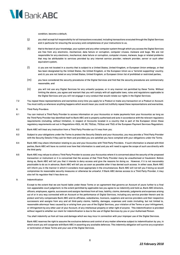

condition, become a default;

- (j) you shall accept full responsibility for all transactions executed, including transactions executed through the Digital Services and in particular for ensuring the accuracy and completeness of your instructions to us;
- (k) that to the best of your knowledge, your system and any other computer system through which you access the Digital Services are free from any electronic, mechanical, data failure or corruption, computer viruses, malware and bugs. We are not responsible for any electronic, mechanical, data failure or corruption, computer viruses, malware, bugs or related problems that may be attributable to services provided by any internet service provider, network provider, server or such other equivalent system;
- (l) (i) you are not located in a country that is subject to a United States, United Kingdom, or European Union embargo, or that has been designated by the United States, the United Kingdom, or the European Union as a "terrorist supporting" country; and (ii) you are not listed on any United States, United Kingdom, or European Union list of prohibited or restricted parties;
- (m) you have considered the security procedures of the Digital Services and find that the security procedures are commercially reasonable; and
- (n) you will not use any Digital Services for any unlawful purpose, or in any manner not permitted by these Terms. Without limiting the above, you agree and warrant that you will comply with all applicable laws, rules and regulations applicable to the Digital Services and you will not engage in any conduct that would violate our rights in the Digital Services.
- 7.2 You repeat these representations and warranties every time you apply for a Product or make any transaction on a Product or Account. You must notify us whenever anything happens which would mean you could not truthfully repeat these representations and warranties.
- 8. Third Party Providers
- 8.1 You can instruct a Third Party Provider to access information on your Account(s) or make payments from your Account(s) as long as the Third Party Provider has identified itself to Bank ABC and is properly authorised and acts in accordance with the relevant regulatory requirements (including, without limitation, in respect of Accounts located in a country that is part of the European Union those regulatory requirements set out in Regulations 43(3), 44, 69, 70(2)(a), 70(3)(a) and 75(2) of the European Payment Services Regulation).
- 8.2 Bank ABC will treat any instruction from a Third Party Provider as if it was from you.
- 8.3 Subject to your obligations under the Terms to protect the Security Details and your Account(s), you may provide a Third Party Provider with the Security Details if they ask for them and provided you are satisfied you have complied with your obligations under the Terms.
- 8.4 Bank ABC may share information relating to you and your Account(s) with Third Party Providers. If such information is shared with third parties, Bank ABC will have no control over how that information is used and you will need to agree the scope of such use directly with the third party.
- 8.5 Bank ABC may refuse to allow a Third Party Provider to access your Account(s) where it is concerned about the security of the proposed transaction or instrument or it is concerned that the access of that Third Party Provider many be unauthorised or fraudulent. Before doing so, Bank ABC will tell you that it intends to deny access and give the reasons for doing so. However, if it is not reasonably practicable to do so in advance, Bank ABC will tell you as soon as possible after it has denied such access. In either case, Bank ABC will inform you in the manner in which it considers most appropriate in the circumstances. Bank ABC will not tell you if doing so would compromise its reasonable security measures or otherwise be unlawful. If Bank ABC denies access to a Third Party Provider, it may also tell its regulator that it has done so.
- 9. Indemnification

Except to the extent that we are found liable under these Terms or an agreement that governs an Account of yours further to a final non-appealable court judgement, to the extent permitted by applicable law you agree to (a) indemnify and hold us, Bank ABC directors, officers, employees, agents, successors and assignsharmless from all loss, liability, claims, demands, judgments and expenses arising out of or in any way connected with an Account or the performance of Digital Services, including any service provider therein and (b) protect and fully compensate Bank ABC and its affiliates, subsidiaries, licensors, suppliers and service providers and their respective successors and assigns from any and all third-party claims, liability, damages, expenses and costs (including, but not limited to, reasonable attorneys' fees) caused by or arising from your use of the Digital Services, your violation of the Terms or your infringement, or infringement by any other user of your Account, of any intellectual property or other right of anyone. This indemnification is provided without regard to whether our claim for indemnification is due to the use of Digital Services by you or your Authorised Person.

You shall indemnify us from all loss and damage which we may incur in connection with your improper use of the Digital Services.

Bank ABC reserves the right to assume the exclusive defence and control of any matter otherwise subject to indemnification by you, in which event you will cooperate with Bank ABC in asserting any available defences. This indemnity obligation will survive any expiration or termination of these Terms and your use of the Digital Services.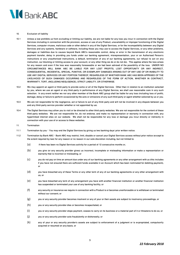

#### 10. Exclusion of liability

- 10.1 Unless a law prohibits us from excluding or limiting our liability, we are not liable for any loss you incur in connection with the Digital Services (including in connection with the provision, access or use of any Product, unavailability or improper functioning of the Digital Services, computer viruses, malicious code or other defect in any of the Digital Services, or for the incompatibility between any Digital Services and any systems, hardware or software, including those you may use to access the Digital Services, or any other problems, damages or liabilities due to causes beyond Bank ABC's reasonable control, delay or error in the transmission of any electronic payment transfer, delay in providing you funds under our banking agreement, misrepresentation, your or an Authorised Person's instructions or any unauthorised instructions, a default, termination of any of our banking agreements, our refusal to act on any instruction, our blocking or limiting access to your account, or any other thing we do or do not do). This applies where the loss arises for any reason and even if the loss was reasonably foreseeable or we had been advised of the possibility of the loss. UNDER NO CIRCUMSTANCES WILL BANK ABC BE LIABLE FOR ANY LOST PROFITS, LOST OPPORTUNITY OR ANY INDIRECT, CONSEQUENTIAL, INCIDENTAL, SPECIAL, PUNITIVE, OR EXEMPLARY DAMAGES ARISING OUT OF ANY USE OF OR INABILITY TO USE ANY DIGITAL SERVICES OR ANY PORTION THEREOF, REGARDLESS OF WHETHER BANK ABC HAS BEEN APPRISED OF THE LIKELIHOOD OF SUCH DAMAGES OCCURRING AND REGARDLESS OF THE FORM OF ACTION, WHETHER IN CONTRACT, WARRANTY, TORT, (INCLUDING NEGLIGENCE), STRICT LIABILITY, OR OTHERWISE.
- 10.2 We may appoint an agent or third-party to provide some or all of the Digital Services. Other than in relation to an institution selected by you, where we use an agent or any third-party in performance of any Digital Service, we shall use reasonable care in any such selection. In any event neither we nor any other member of the Bank ABC group shall be liable for any loss (including loss of profit), damage, delay or failure to perform occasioned by the acts or omissions of any such third party or agent whether selected by us or you.
- 10.3 We are not responsible for the negligence, act or failure to act of any third-party and will not be involved in any dispute between you and any third-party service provider (whether or not appointed by us).
- 10.4 The Digital Services may allow you to visit or be directed to other third-party websites. We are not responsible for the content of these third-party websites. We are not responsible for, do not endorse, and make no representation or warranty in connection with, any hyperlinked internet sites on our website. We shall not be responsible for any loss or damage you incur directly or indirectly in connection with your use of or access to these websites.

#### 11. Termination

- 11.1 Termination by you You may end the Digital Services by giving us two banking days' prior written notice.
- 11.2 Termination by Bank ABC Bank ABC may restrict, limit, disable or cancel your Digital Services access without prior notice (except to the extent required by law) for any reason or no reason in our sole discretion including, but not limited to:
	- (a) if there has been no Digital Services activity for a period of 12 consecutive months or,
	- (b) you give (or any security provider gives) us incorrect, incomplete or misleading information or make a representation or warranty that is incorrect or misleading; or
	- (c) you do not pay on time an amount due under any of our banking agreements or any other arrangement with us (this includes if you have not ensured there are sufficient funds available in an Account which has been nominated for debiting payment); or
	- (d) you have breached any of these Terms or any other term of any of our banking agreements or any other arrangement with us; or
	- (e) you have breached any term of any arrangement you have with another financial institution or another financial institution has suspended or terminated your use of any banking facility; or
	- (f) any security or insurance we require in connection with a Product is or becomes unenforceable or is withdrawn or terminated without our consent; or
	- (g) you or any security provider becomes insolvent or any of your or their assets are subject to insolvency proceedings; or
	- (h) you or any security provider dies or becomes incapacitated; or
	- (i) you or any security provider stops payment, ceases to carry on its business or a material part of it or threatens to do so; or
	- (j) you or any security provider acts fraudulently or dishonestly; or
	- (k) any of your or any security provider's assets are subject to enforcement of a judgment or is expropriated, compulsorily acquired or resumed on any basis; or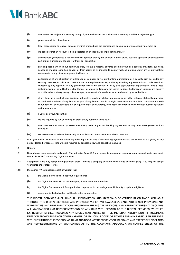

- (l) any assets the subject of a security or any of your business or the business of a security provider is in jeopardy; or
- (m) you are convicted of a crime; or
- (n) legal proceedings to recover debts or criminal proceedings are commenced against you or any security provider; or
- (o) we consider that an Account is being operated in an irregular or improper manner; or
- (p) any business you operate is not carried on in a proper, orderly and efficient manner or you cease to operate it or a substantial part of it or significantly change it without our consent; or
- (q) anything occurs which, in our opinion, is likely to have a material adverse effect on your (or a security provider's) business, assets or financial condition or your or their ability or willingness to comply with obligations under any of our banking agreements or any other arrangement with us; or
- (r) performance of any obligation by either you or us under any of our banking agreements or a security provider under any security breaches, or is likely to breach, a law or a requirement of any authority including any economic and trade sanctions imposed by any regulator in any jurisdiction where we operate in or by any supranational organisation, official body including, but not limited to, the United States, Her Majesty's Treasury, the United Nations, the European Union or any country or is otherwise contrary to any policy we apply as a result of an order or sanction issued by an authority; or
- (s) at any time, as a result of your domicile, nationality, residency status, tax status, or any other relevant status, the provision or continued provision of any Product or part of any Product, would or might in our reasonable opinion constitute a breach of our policy or any applicable law or requirement of any authority, or is not in accordance with our usual business practice and procedure; or
- (t) if you close your Account; or
- (u) we are required by law (including an order of any authority) to do so; or
- (v) any other event of default (however described) under any of our banking agreements or any other arrangement with us occurs; or
- (w) we have cause to believe the security of your Account or our system may be in question.
- 11.3 Our rights under this clause do not affect any other right under any of our banking agreements and are subject to the giving of any notice, demand or lapse of time which is required by applicable law and cannot be excluded.
- 12. General
- 12.1 Recording of telephone calls and email You authorise Bank ABC and its agents to record or copy any telephone call made to or email sent to Bank ABC concerning Digital Services.
- 12.2 Assignment We may assign our rights under these Terms to a company affiliated with us or to any other party. You may not assign your rights under these Terms.
- 12.3 Disclaimer We do not represent or warrant that:
	- (a) the Digital Services will meet your requirements;
	- (b) the Digital Services will be uninterrupted, timely, secure or error-free;
	- (c) the Digital Services are fit for a particular purpose, or do not infringe any third-party proprietary rights; or
	- (d) any errors in the technology will be detected or corrected.

THE DIGITAL SERVICES (INCLUDING ALL INFORMATION AND MATERIALS CONTAINED IN OR MADE AVAILABLE THROUGH THE DIGITAL SERVICES) ARE PROVIDED "AS IS" "AS AVAILABLE". BANK ABC IS NOT PROVIDING ANY WARRANTIES AND REPRESENTATIONS REGARDING THE DIGITAL SERVICES, AND HEREBY EXPRESSLY DISCLAIMS ALL WARRANTIES AND REPRESENTATIONS OF ANY KIND WITH REGARD TO THE DIGITAL SERVICES, WHETHER EXPRESS OR IMPLIED, INCLUDING ANY IMPLIED WARRANTIES OF TITLE, MERCHANTABILITY, NON-INFRINGEMENT, FREEDOM FROM VIRUSES OR OTHER HARMFUL OR MALICIOUS CODE, OR FITNESS FOR ANY PARTICULAR PURPOSE. WITHOUT LIMITING THE FOREGOING, BANK ABC DOES NOT REPRESENT OR WARRANT, AND EXPRESSLY DISCLAIMS ANY REPRESENTATIONS OR WARRANTIES AS TO THE ACCURACY, ADEQUACY, OR COMPLETENESS OF THE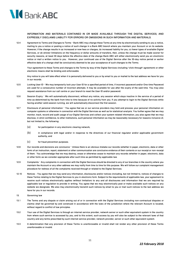

INFORMATION AND MATERIALS CONTAINED IN OR MADE AVAILABLE THROUGH THE DIGITAL SERVICES, AND EXPRESSLY DISCLAIMS LIABILITY FOR ERRORS OR OMISSIONS IN SUCH INFORMATION AND MATERIALS.

12.4 Agreement to Terms and Changes to Terms – Bank ABC may change these Terms at any time by electronically sending to you a notice, mailing to you a notice or posting a notice of such change in a Bank ABC branch where you maintain your Account or on its website. However, if the change results in (a) increased or new fees or charges, (b) increased liability for you, (c) fewer types of available Digital Services, or (d) stricter limitations on the frequency or dollar amounts of transfers, then, unless the change must be made sooner for security reasons, at least 30 days before the effective date of the change Bank ABC will either electronically send you an electronic notice or mail a written notice to you. However, your continued use of the Digital Service after the 30-day notice period or earlier effective date of a change shall be conclusively deemed to be your acceptance of such changes to the Terms.

Your agreement to these Terms and changes to the Terms by way of the Digital Services (including "click-through" agreement) or other electronic means shall be binding and enforceable.

Any notice to you will take effect when it is personally delivered to you or by email to you or mailed to the last address we have for you in our records.

- 12.5 Locking User ID We may temporarily lock your User ID for a specified period of time, if incorrect password and/or One-time Password are used for a consecutive number of incorrect attempts. It may be available for use after the expiry of the said time. You may also request assistance from our call centre or your branch to reset the User ID and/or password.
- 12.6 Session Expiry We will automatically disconnect, without any notice, any session which stays inactive in the service of a period of time as determined by the bank from time to time because of no activity from you. If you attempt to login to the Digital Services while having another valid session running, we will automatically disconnect the first session.
- 12.7 Disclosure of personal information You agree that we or our service providers may hold and process your personal information on computer systems or otherwise in connection with the Digital Services as well as for statistical analysis. You further agree that we may monitor, track, record and audit usage of our Digital Services and collect your system related information; you also agree that we may disclose, in strict confidence, to other institutions, such personal information as may be reasonably necessary for reasons inclusive of, but not limited to, the following:
	- (a) for participation in any electronic clearing network;
	- (b) in compliance with legal and/or in response to the directives of our financial regulator and/or applicable government authority; and
	- (c) for fraud prevention purposes.
- 12.8 Our records and decisions are conclusive Unless there is an obvious mistake our records (whether in paper, electronic, data or other form) of an instruction, report, statement or other communication are conclusive evidence of their contents or our receipt or non-receipt of them. You acknowledge that we may destroy, erase or otherwise cease to maintain any records (whether in paper, electronic, data or other form) as we consider appropriate after such time as permitted by applicable law.
- 12.9 Complaints Any complaints in connection with the Digital Servicesshould be directed to any of our branches in the country where you maintain the Account or any other address we may notify from time to time for this purpose. We will follow our complaint management procedure for redress of all the complaints received through or related to the Digital Services.
- 12.10 Notices You agree that we may send any information, disclosures and/or notices (including, but not limited to, notices of changes to these Terms) relating to the Digital Services to you in electronic form. Subject to the requirements of applicable law, your agreement to receive such notices electronically applies (without limitation) to any and all disclosures and information that we are required by applicable law or regulation to provide in writing. You agree that we may electronically post or make available such notices on any website we designate. We also may electronically transmit such notices by email to you or mail such notices to the last address we have for you in our records.
- 13. Governing law
- 13.1 The Terms and any dispute or claim arising out of or in connection with the Digital Services (including non-contractual disputes or claims) shall be governed by and construed in accordance with the laws of the jurisdiction where the relevant Account is located, without regard to conflict of law principles.
- 13.2 Your use of the Digital Services is through an internet service provider, network server or such other equivalent system in the country from where such service is accessed by you, and to this extent, such access by you will also be subject to the relevant laws of that country and any terms prescribed by such internet service provider, network provider, server or such other equivalent system.
- 13.3 A determination that any provision of these Terms is unenforceable or invalid shall not render any other provision of these Terms unenforceable or invalid.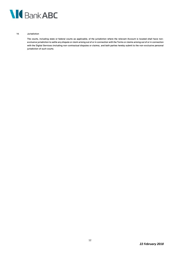

14. Jurisdiction

#### The courts, including state or federal courts as applicable, of the jurisdiction where the relevant Account is located shall have nonexclusive jurisdiction to settle any dispute or claim arising out of or in connection with the Terms or claims arising out of or in connection with the Digital Services (including non-contractual disputes or claims), and both parties hereby submit to the non-exclusive personal jurisdiction of such courts.